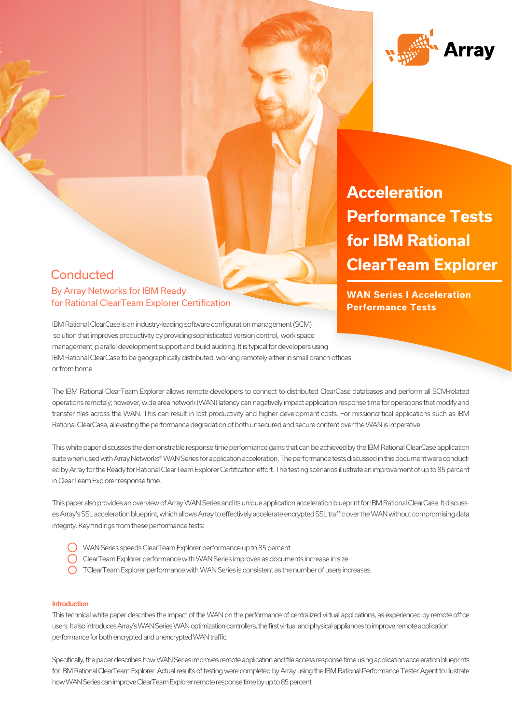

**Acceleration and Visibility Performance Tests Value with Network for IBM Rational ClearTeam Explorer** 

**Performance Tests**

# **Conducted AUX SERIES FOR SERIES FOR SERIES FOR SERIES FOR SERIES FOR SERIES FOR SERIES FOR SERIES FOR SERIES FOR SERIES FOR SERIES FOR SERIES FOR SERIES STATISTICS. THE SERIES OF SERIES STATISTICS OF SERIES STATISTICS OF SERIES STA** for Rational ClearTeam Explorer Certification

IBM Rational ClearCase is an industry-leading software configuration management (SCM) solution that improves productivity by providing sophisticated version control, work space management, p arallel development support and build auditing. It is typical for developers using IBM Rational ClearCase to be geographically distributed, working remotely either in small branch offices or from home.

The IBM Rational ClearTeam Explorer allows remote developers to connect to distributed ClearCase databases and perform all SCM-related operations remotely; however, wide area network (WAN) latency can negatively impact application response time for operations that modify and transfer files across the WAN. This can result in lost productivity and higher development costs. For missioncritical applications such as IBM Rational ClearCase, alleviating the performance degradation of both unsecured and secure content over the WAN is imperative.

This white paper discusses the demonstrable response time performance gains that can be achieved by the IBM Rational ClearCase application suite when used with Array Networks® WAN Series for application acceleration. The performance tests discussed in this document were conducted by Array for the Ready for Rational ClearTeam Explorer Certification effort. The testing scenarios illustrate an improvement of up to 85 percent in ClearTeam Explorer response time.

This paper also provides an overview of Array WAN Series and its unique application acceleration blueprint for IBM Rational ClearCase. It discusses Array's SSL acceleration blueprint, which allows Array to effectively accelerate encrypted SSL traffic over the WAN without compromising data integrity. Key findings from these performance tests:

- WAN Series speeds ClearTeam Explorer performance up to 85 percent
- ClearTeam Explorer performance with WAN Series improves as documents increase in size
- $\bigcap$  TClearTeam Explorer performance with WAN Series is consistent as the number of users increases.

#### Introduction

This technical white paper describes the impact of the WAN on the performance of centralized virtual applications, as experienced by remote office users. It also introduces Array's WAN Series WAN optimization controllers, the first virtual and physical appliances to improve remote application performance for both encrypted and unencrypted WAN traffic.

Specifically, the paper describes how WAN Series improves remote application and file access response time using application acceleration blueprints for IBM Rational ClearTeam Explorer. Actual results of testing were completed by Array using the IBM Rational Performance Tester Agent to illustrate how WAN Series can improve ClearTeam Explorer remote response time by up to 85 percent.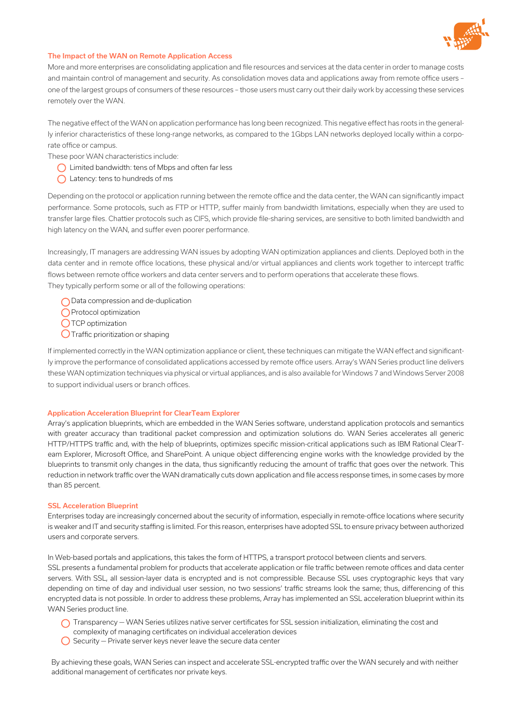

### The Impact of the WAN on Remote Application Access

More and more enterprises are consolidating application and file resources and services at the data center in order to manage costs and maintain control of management and security. As consolidation moves data and applications away from remote office users – one of the largest groups of consumers of these resources – those users must carry out their daily work by accessing these services remotely over the WAN.

The negative effect of the WAN on application performance has long been recognized. This negative effect has roots in the generally inferior characteristics of these long-range networks, as compared to the 1Gbps LAN networks deployed locally within a corporate office or campus.

These poor WAN characteristics include:

- Limited bandwidth: tens of Mbps and often far less
- $\bigcap$  Latency: tens to hundreds of ms

Depending on the protocol or application running between the remote office and the data center, the WAN can significantly impact performance. Some protocols, such as FTP or HTTP, suffer mainly from bandwidth limitations, especially when they are used to transfer large files. Chattier protocols such as CIFS, which provide file-sharing services, are sensitive to both limited bandwidth and high latency on the WAN, and suffer even poorer performance.

Increasingly, IT managers are addressing WAN issues by adopting WAN optimization appliances and clients. Deployed both in the data center and in remote office locations, these physical and/or virtual appliances and clients work together to intercept traffic flows between remote office workers and data center servers and to perform operations that accelerate these flows. They typically perform some or all of the following operations:

◯ Data compression and de-duplication

Protocol optimization

O TCP optimization

 $\bigcirc$  Traffic prioritization or shaping

If implemented correctly in the WAN optimization appliance or client, these techniques can mitigate the WAN effect and significantly improve the performance of consolidated applications accessed by remote office users. Array's WAN Series product line delivers these WAN optimization techniques via physical or virtual appliances, and is also available for Windows 7 and Windows Server 2008 to support individual users or branch offices.

#### Application Acceleration Blueprint for ClearTeam Explorer

Array's application blueprints, which are embedded in the WAN Series software, understand application protocols and semantics with greater accuracy than traditional packet compression and optimization solutions do. WAN Series accelerates all generic HTTP/HTTPS traffic and, with the help of blueprints, optimizes specific mission-critical applications such as IBM Rational ClearTeam Explorer, Microsoft Office, and SharePoint. A unique object differencing engine works with the knowledge provided by the blueprints to transmit only changes in the data, thus significantly reducing the amount of traffic that goes over the network. This reduction in network traffic over the WAN dramatically cuts down application and file access response times, in some cases by more than 85 percent.

#### SSL Acceleration Blueprint

Enterprises today are increasingly concerned about the security of information, especially in remote-office locations where security is weaker and IT and security staffing is limited. For this reason, enterprises have adopted SSL to ensure privacy between authorized users and corporate servers.

In Web-based portals and applications, this takes the form of HTTPS, a transport protocol between clients and servers. SSL presents a fundamental problem for products that accelerate application or file traffic between remote offices and data center servers. With SSL, all session-layer data is encrypted and is not compressible. Because SSL uses cryptographic keys that vary depending on time of day and individual user session, no two sessions' traffic streams look the same; thus, differencing of this encrypted data is not possible. In order to address these problems, Array has implemented an SSL acceleration blueprint within its WAN Series product line.

- $\bigcap$  Transparency WAN Series utilizes native server certificates for SSL session initialization, eliminating the cost and
- complexity of managing certificates on individual acceleration devices
- $\bigcirc$  Security Private server keys never leave the secure data center

By achieving these goals, WAN Series can inspect and accelerate SSL-encrypted traffic over the WAN securely and with neither additional management of certificates nor private keys.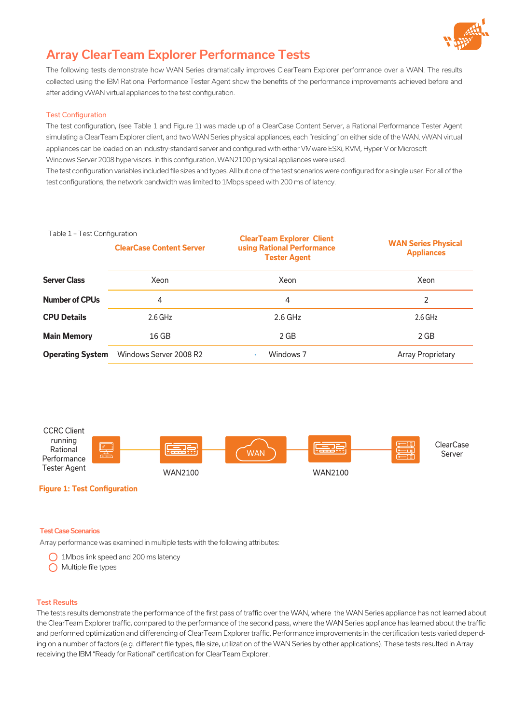

# Array ClearTeam Explorer Performance Tests

The following tests demonstrate how WAN Series dramatically improves ClearTeam Explorer performance over a WAN. The results collected using the IBM Rational Performance Tester Agent show the benefits of the performance improvements achieved before and after adding vWAN virtual appliances to the test configuration.

# Test Configuration

The test configuration, (see Table 1 and Figure 1) was made up of a ClearCase Content Server, a Rational Performance Tester Agent simulating a ClearTeam Explorer client, and two WAN Series physical appliances, each "residing" on either side of the WAN. vWAN virtual appliances can be loaded on an industry-standard server and configured with either VMware ESXi, KVM, Hyper-V or Microsoft Windows Server 2008 hypervisors. In this configuration, WAN2100 physical appliances were used.

The test configuration variables included file sizes and types. All but one of the test scenarios were configured for a single user. For all of the test configurations, the network bandwidth was limited to 1Mbps speed with 200 ms of latency.

#### Table 1 – Test Configuration

|                         | <b>ClearCase Content Server</b> | <b>ClearTeam Explorer Client</b><br>using Rational Performance<br><b>Tester Agent</b> | <b>WAN Series Physical</b><br><b>Appliances</b> |
|-------------------------|---------------------------------|---------------------------------------------------------------------------------------|-------------------------------------------------|
| <b>Server Class</b>     | Xeon                            | Xeon                                                                                  | Xeon                                            |
| <b>Number of CPUs</b>   | 4                               | 4                                                                                     | 2                                               |
| <b>CPU Details</b>      | $2.6$ GHz                       | $2.6$ GHz                                                                             | $2.6$ GHz                                       |
| <b>Main Memory</b>      | $16$ GB                         | $2$ GB                                                                                | $2$ GB                                          |
| <b>Operating System</b> | Windows Server 2008 R2          | Windows 7                                                                             | <b>Array Proprietary</b>                        |



#### Test Case Scenarios

Array performance was examined in multiple tests with the following attributes:

- 1Mbps link speed and 200 ms latency
- O Multiple file types

#### Test Results

The tests results demonstrate the performance of the first pass of traffic over the WAN, where the WAN Series appliance has not learned about the ClearTeam Explorer traffic, compared to the performance of the second pass, where the WAN Series appliance has learned about the traffic and performed optimization and differencing of ClearTeam Explorer traffic. Performance improvements in the certification tests varied depending on a number of factors (e.g. different file types, file size, utilization of the WAN Series by other applications). These tests resulted in Array receiving the IBM "Ready for Rational" certification for ClearTeam Explorer.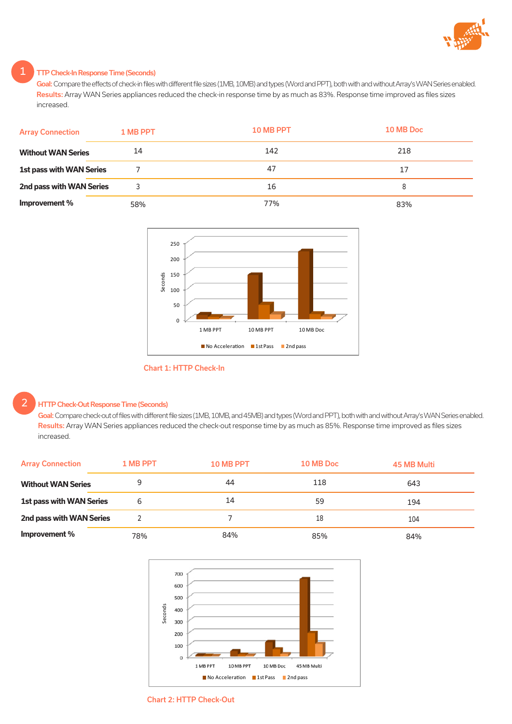

# TTP Check-In Response Time (Seconds)

Goal: Compare the effects of check-in files with different file sizes (1MB, 10MB) and types (Word and PPT), both with and without Array's WAN Series enabled. Results: Array WAN Series appliances reduced the check-in response time by as much as 83%. Response time improved as files sizes increased.

| <b>Array Connection</b>         | 1 MB PPT | 10 MB PPT | 10 MB Doc |
|---------------------------------|----------|-----------|-----------|
| <b>Without WAN Series</b>       | 14       | 142       | 218       |
| <b>1st pass with WAN Series</b> |          | 47        | 17        |
| 2nd pass with WAN Series        |          | 16        | 8         |
| Improvement %                   | 58%      | 77%       | 83%       |



# Chart 1: HTTP Check-In

# HTTP Check-Out Response Time (Seconds)

2

Goal: Compare check-out of files with different file sizes (1MB, 10MB, and 45MB) and types (Word and PPT), both with and without Array's WAN Series enabled. Results: Array WAN Series appliances reduced the check-out response time by as much as 85%. Response time improved as files sizes increased.

| <b>Array Connection</b>   | 1 MB PPT | 10 MB PPT | 10 MB Doc | 45 MB Multi |
|---------------------------|----------|-----------|-----------|-------------|
| <b>Without WAN Series</b> |          | 44        | 118       | 643         |
| 1st pass with WAN Series  | 6        | 14        | 59        | 194         |
| 2nd pass with WAN Series  |          |           | 18        | 104         |
| Improvement %             | 78%      | 84%       | 85%       | 84%         |



Chart 2: HTTP Check-Out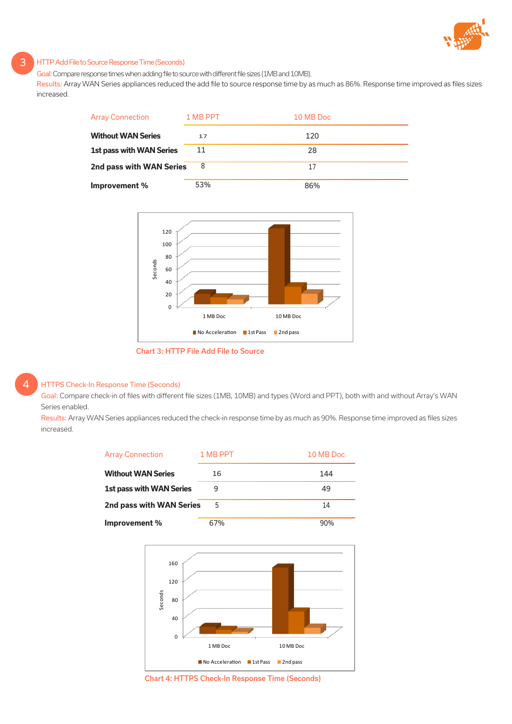

## HTTP Add File to Source Response Time (Seconds)

Goal: Compare response times when adding file to source with different file sizes (1MB and 10MB).

Results: Array WAN Series appliances reduced the add file to source response time by as much as 86%. Response time improved as files sizes increased.





Chart 3: HTTP File Add File to Source

# HTTPS Check-In Response Time (Seconds)

4

3

Goal: Compare check-in of files with different file sizes (1MB, 10MB) and types (Word and PPT), both with and without Array's WAN Series enabled.

Results: Array WAN Series appliances reduced the check-in response time by as much as 90%. Response time improved as files sizes increased.





Chart 4: HTTPS Check-In Response Time (Seconds)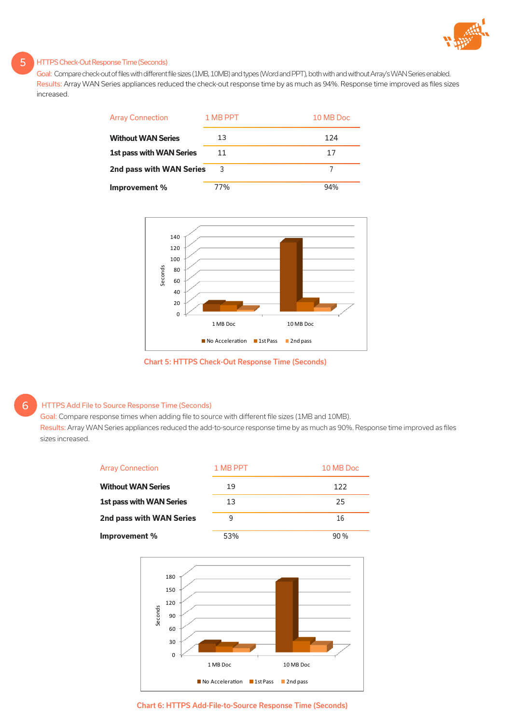

## HTTPS Check-Out Response Time (Seconds)

Goal: Compare check-out of files with different file sizes (1MB, 10MB) and types (Word and PPT), both with and without Array's WAN Series enabled. Results: Array WAN Series appliances reduced the check-out response time by as much as 94%. Response time improved as files sizes increased.

| <b>Array Connection</b>         | 1 MB PPT | 10 MB Doc |
|---------------------------------|----------|-----------|
| <b>Without WAN Series</b>       | 13       | 124       |
| <b>1st pass with WAN Series</b> | 11       | 17        |
| 2nd pass with WAN Series        | 3        |           |
| Improvement %                   | 77%      | 94%       |



Chart 5: HTTPS Check-Out Response Time (Seconds)

# HTTPS Add File to Source Response Time (Seconds)

6

5

Goal: Compare response times when adding file to source with different file sizes (1MB and 10MB).

Results: Array WAN Series appliances reduced the add-to-source response time by as much as 90%. Response time improved as files sizes increased.

| <b>Array Connection</b>         | 1 MB PPT | 10 MB Doc |
|---------------------------------|----------|-----------|
| <b>Without WAN Series</b>       | 19       | 122       |
| <b>1st pass with WAN Series</b> | 13       | 25        |
| 2nd pass with WAN Series        | 9        | 16        |
| Improvement %                   | 53%      | 90 %      |



Chart 6: HTTPS Add-File-to-Source Response Time (Seconds)